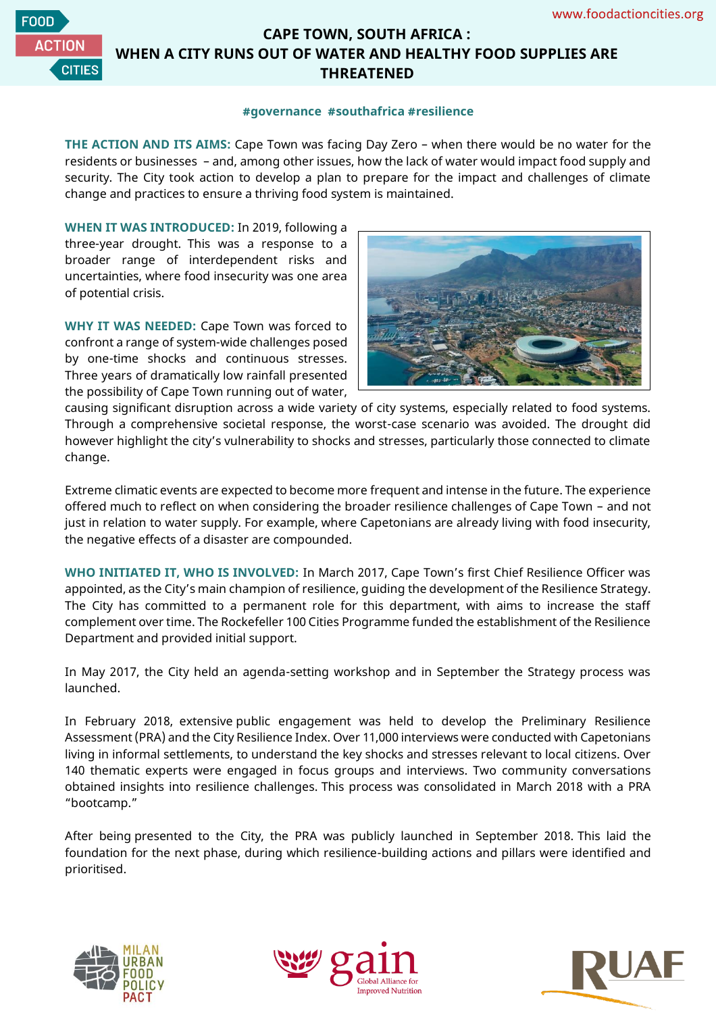

## **CAPE TOWN, SOUTH AFRICA : WHEN A CITY RUNS OUT OF WATER AND HEALTHY FOOD SUPPLIES ARE THREATENED**

## **#governance #southafrica #resilience**

**THE ACTION AND ITS AIMS:** Cape Town was facing Day Zero – when there would be no water for the residents or businesses – and, among other issues, how the lack of water would impact food supply and security. The City took action to develop a plan to prepare for the impact and challenges of climate change and practices to ensure a thriving food system is maintained.

**WHEN IT WAS INTRODUCED:** In 2019, following a three-year drought. This was a response to a broader range of interdependent risks and uncertainties, where food insecurity was one area of potential crisis.

**WHY IT WAS NEEDED:** Cape Town was forced to confront a range of system-wide challenges posed by one-time shocks and continuous stresses. Three years of dramatically low rainfall presented the possibility of Cape Town running out of water,



causing significant disruption across a wide variety of city systems, especially related to food systems. Through a comprehensive societal response, the worst-case scenario was avoided. The drought did however highlight the city's vulnerability to shocks and stresses, particularly those connected to climate change.

Extreme climatic events are expected to become more frequent and intense in the future. The experience offered much to reflect on when considering the broader resilience challenges of Cape Town – and not just in relation to water supply. For example, where Capetonians are already living with food insecurity, the negative effects of a disaster are compounded.

**WHO INITIATED IT, WHO IS INVOLVED:** In March 2017, Cape Town's first Chief Resilience Officer was appointed, as the City's main champion of resilience, guiding the development of the Resilience Strategy. The City has committed to a permanent role for this department, with aims to increase the staff complement over time. The Rockefeller 100 Cities Programme funded the establishment of the Resilience Department and provided initial support.

In May 2017, the City held an agenda-setting workshop and in September the Strategy process was launched.

In February 2018, extensive public engagement was held to develop the Preliminary Resilience Assessment (PRA) and the City Resilience Index. Over 11,000 interviews were conducted with Capetonians living in informal settlements, to understand the key shocks and stresses relevant to local citizens. Over 140 thematic experts were engaged in focus groups and interviews. Two community conversations obtained insights into resilience challenges. This process was consolidated in March 2018 with a PRA "bootcamp."

After being presented to the City, the PRA was publicly launched in September 2018. This laid the foundation for the next phase, during which resilience-building actions and pillars were identified and prioritised.